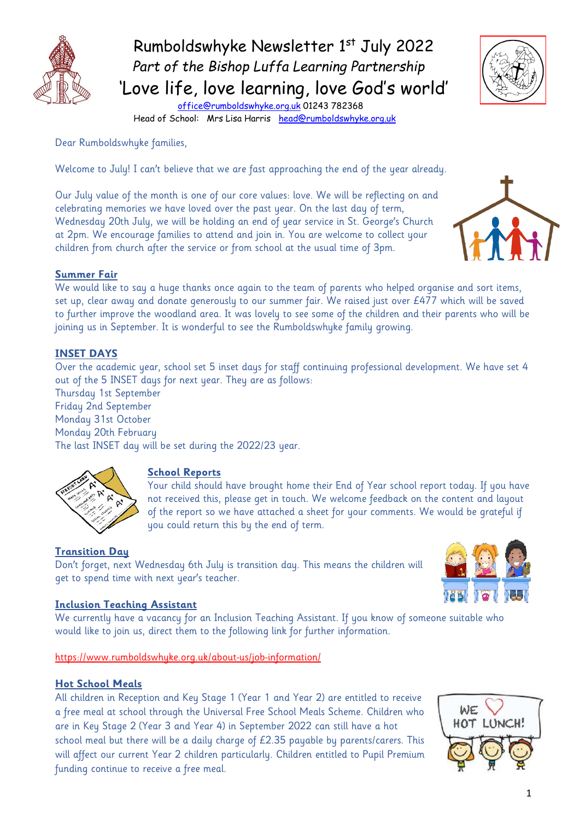

 Rumboldswhyke Newsletter 1 st July 2022  *Part of the Bishop Luffa Learning Partnership* 'Love life, love learning, love God's world'



 [office@rumboldswhyke.org.uk](mailto:office@rumboldswhyke.org.uk) 01243 782368 Head of School: Mrs Lisa Harris [head@rumboldswhyke.org.uk](mailto:head@rumboldswhyke.org.uk)

Dear Rumboldswhyke families,

Welcome to July! I can't believe that we are fast approaching the end of the year already.

Our July value of the month is one of our core values: love. We will be reflecting on and celebrating memories we have loved over the past year. On the last day of term, Wednesday 20th July, we will be holding an end of year service in St. George's Church at 2pm. We encourage families to attend and join in. You are welcome to collect your children from church after the service or from school at the usual time of 3pm.



## **Summer Fair**

We would like to say a huge thanks once again to the team of parents who helped organise and sort items, set up, clear away and donate generously to our summer fair. We raised just over £477 which will be saved to further improve the woodland area. It was lovely to see some of the children and their parents who will be joining us in September. It is wonderful to see the Rumboldswhyke family growing.

## **INSET DAYS**

Over the academic year, school set 5 inset days for staff continuing professional development. We have set 4 out of the 5 INSET days for next year. They are as follows:

Thursday 1st September Friday 2nd September Monday 31st October Monday 20th February The last INSET day will be set during the 2022/23 year.



#### **School Reports**

Your child should have brought home their End of Year school report today. If you have not received this, please get in touch. We welcome feedback on the content and layout of the report so we have attached a sheet for your comments. We would be grateful if you could return this by the end of term.

#### **Transition Day**

Don't forget, next Wednesday 6th July is transition day. This means the children will get to spend time with next year's teacher.



#### **Inclusion Teaching Assistant**

We currently have a vacancy for an Inclusion Teaching Assistant. If you know of someone suitable who would like to join us, direct them to the following link for further information.

<https://www.rumboldswhyke.org.uk/about-us/job-information/>

#### **Hot School Meals**

All children in Reception and Key Stage 1 (Year 1 and Year 2) are entitled to receive a free meal at school through the Universal Free School Meals Scheme. Children who are in Key Stage 2 (Year 3 and Year 4) in September 2022 can still have a hot school meal but there will be a daily charge of £2.35 payable by parents/carers. This will affect our current Year 2 children particularly. Children entitled to Pupil Premium funding continue to receive a free meal.